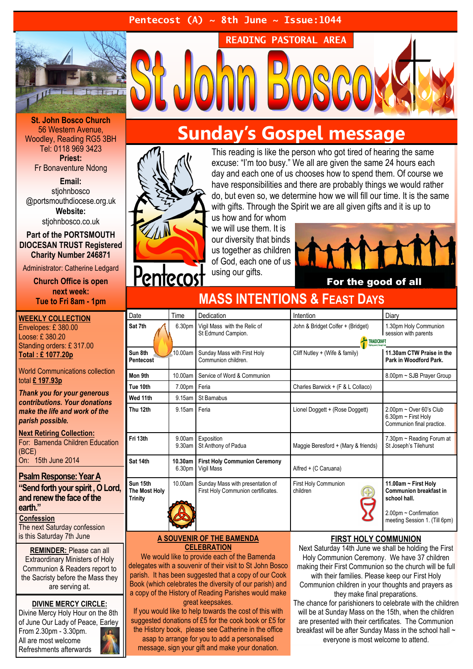#### Pentecost (A)  $\sim$  8th June  $\sim$  Issue: 1044



St. John Bosco Church 56 Western Avenue, Woodley, Reading RG5 3BH Tel: 0118 969 3423 Priest: Fr Bonaventure Ndong

Email:

stiohnbosco @portsmouthdiocese.org.uk Website:

stiohnbosco.co.uk

Part of the PORTSMOUTH DIOCESAN TRUST Registered Charity Number 246871

Administrator: Catherine Ledgard

Church Office is open next week: Tue to Fri 8am - 1pm

WEEKLY COLLECTION Envelopes: £ 380.00 Loose: £ 380.20 Standing orders: £ 317.00 Total : £ 1077.20p

World Communications collection total £ 197.93p

Thank you for your generous contributions. Your donations make the life and work of the parish possible.

Next Retiring Collection: For: Bamenda Children Education (BCE) On: 15th June 2014

#### Psalm Response: Year A

"Send forth your spirit , O Lord, and renew the face of the earth."

**Confession** The next Saturday confession is this Saturday 7th June

REMINDER: Please can all Extraordinary Ministers of Holy Communion & Readers report to the Sacristy before the Mass they are serving at.

DIVINE MERCY CIRCLE: Divine Mercy Holy Hour on the 8th of June Our Lady of Peace, Earley From 2.30pm - 3.30pm. All are most welcome Refreshments afterwards

## Sunday's Gospel message

READING PASTORAL AREA



<u>Pentecos</u>

This reading is like the person who got tired of hearing the same excuse: "I'm too busy." We all are given the same 24 hours each day and each one of us chooses how to spend them. Of course we have responsibilities and there are probably things we would rather do, but even so, we determine how we will fill our time. It is the same with gifts. Through the Spirit we are all given gifts and it is up to

us how and for whom we will use them. It is our diversity that binds us together as children of God, each one of us using our gifts.



For the good of all

| MAJU INTENTIUNU & FEAST DATS                |                   |                                                                        |                                                 |                                                                                                                                 |
|---------------------------------------------|-------------------|------------------------------------------------------------------------|-------------------------------------------------|---------------------------------------------------------------------------------------------------------------------------------|
| Date                                        | Time              | Dedication                                                             | Intention                                       | Diary                                                                                                                           |
| Sat 7th                                     | 6.30pm            | Vigil Mass with the Relic of<br>St Edmund Campion.                     | John & Bridget Colfer + (Bridget)<br>TRAIDCRAFT | 1.30pm Holy Communion<br>session with parents                                                                                   |
| Sun 8th<br>Pentecost                        | 10.00am           | Sunday Mass with First Holy<br>Communion children.                     | Cliff Nutley + (Wife & family)                  | 11.30am CTW Praise in the<br>Park in Woodford Park.                                                                             |
| Mon 9th                                     | 10.00am           | Service of Word & Communion                                            |                                                 | 8.00pm ~ SJB Prayer Group                                                                                                       |
| Tue 10th                                    | 7.00pm            | Feria                                                                  | Charles Barwick + (F & L Collaco)               |                                                                                                                                 |
| Wed 11th                                    | 9.15am            | St Barnabus                                                            |                                                 |                                                                                                                                 |
| Thu 12th                                    | 9.15am            | Feria                                                                  | Lionel Doggett + (Rose Doggett)                 | $2.00$ pm ~ Over 60's Club<br>6.30pm $\sim$ First Holy<br>Communion final practice.                                             |
| Fri 13th                                    | 9.00am<br>9.30am  | Exposition<br>St Anthony of Padua                                      | Maggie Beresford + (Mary & friends)             | 7.30pm ~ Reading Forum at<br>St Joseph's Tilehurst                                                                              |
| Sat 14th                                    | 10.30am<br>6.30pm | <b>First Holy Communion Ceremony</b><br>Vigil Mass                     | Alfred + (C Caruana)                            |                                                                                                                                 |
| Sun 15th<br>The Most Holy<br><b>Trinity</b> | 10.00am           | Sunday Mass with presentation of<br>First Holy Communion certificates. | First Holy Communion<br>children<br>Ð           | 11.00am ~ First Holy<br><b>Communion breakfast in</b><br>school hall.<br>2.00pm ~ Confirmation<br>meeting Session 1. (Till 6pm) |

MASS INTENTIONS & FEAST DAVS

#### A SOUVENIR OF THE BAMENDA **CELEBRATION**

We would like to provide each of the Bamenda delegates with a souvenir of their visit to St John Bosco parish. It has been suggested that a copy of our Cook Book (which celebrates the diversity of our parish) and a copy of the History of Reading Parishes would make great keepsakes.

If you would like to help towards the cost of this with suggested donations of £5 for the cook book or £5 for the History book, please see Catherine in the office asap to arrange for you to add a personalised message, sign your gift and make your donation.

#### FIRST HOLY COMMUNION

Next Saturday 14th June we shall be holding the First Holy Communion Ceremony. We have 37 children making their First Communion so the church will be full with their families. Please keep our First Holy Communion children in your thoughts and prayers as they make final preparations. The chance for parishioners to celebrate with the children

will be at Sunday Mass on the 15th, when the children are presented with their certificates. The Communion breakfast will be after Sunday Mass in the school hall  $\sim$ everyone is most welcome to attend.